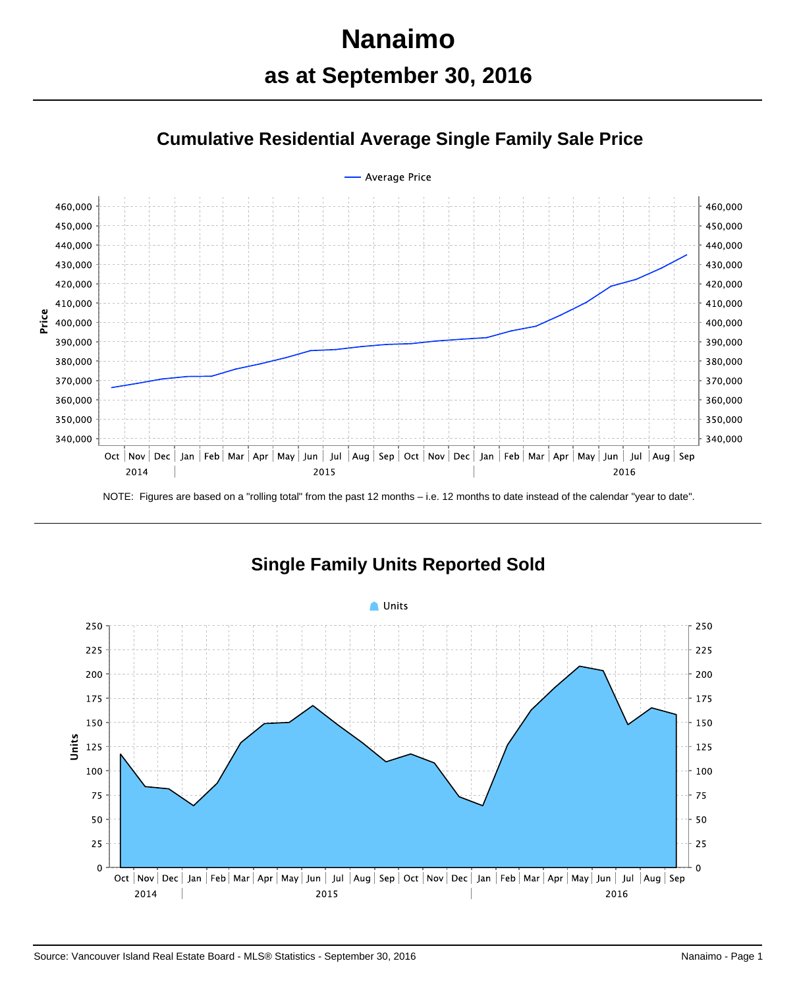## **Nanaimo as at September 30, 2016**





NOTE: Figures are based on a "rolling total" from the past 12 months – i.e. 12 months to date instead of the calendar "year to date".



**Single Family Units Reported Sold**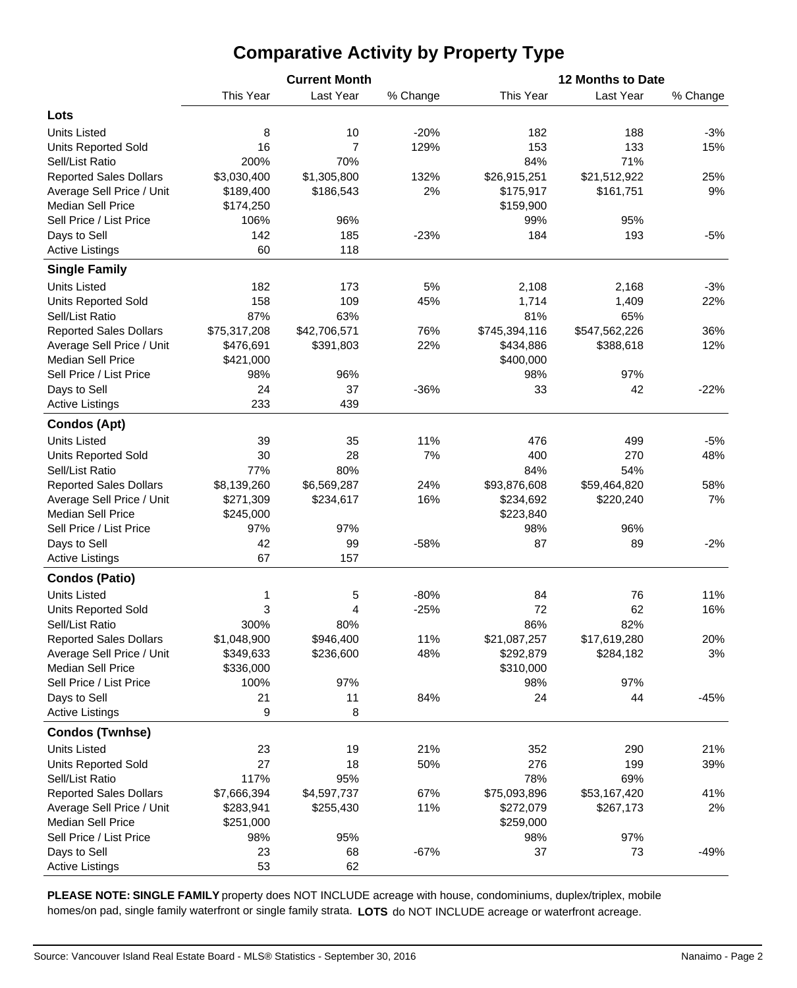## **Comparative Activity by Property Type**

|                               |              | <b>Current Month</b> |          | 12 Months to Date |               |          |  |  |  |  |
|-------------------------------|--------------|----------------------|----------|-------------------|---------------|----------|--|--|--|--|
|                               | This Year    | Last Year            | % Change | This Year         | Last Year     | % Change |  |  |  |  |
| Lots                          |              |                      |          |                   |               |          |  |  |  |  |
| <b>Units Listed</b>           | 8            | 10                   | $-20%$   | 182               | 188           | $-3%$    |  |  |  |  |
| <b>Units Reported Sold</b>    | 16           | 7                    | 129%     | 153               | 133           | 15%      |  |  |  |  |
| Sell/List Ratio               | 200%         | 70%                  |          | 84%               | 71%           |          |  |  |  |  |
| <b>Reported Sales Dollars</b> | \$3,030,400  | \$1,305,800          | 132%     | \$26,915,251      | \$21,512,922  | 25%      |  |  |  |  |
| Average Sell Price / Unit     | \$189,400    | \$186,543            | 2%       | \$175,917         | \$161,751     | 9%       |  |  |  |  |
| <b>Median Sell Price</b>      | \$174,250    |                      |          | \$159,900         |               |          |  |  |  |  |
| Sell Price / List Price       | 106%         | 96%                  |          | 99%               | 95%           |          |  |  |  |  |
| Days to Sell                  | 142          | 185                  | $-23%$   | 184               | 193           | -5%      |  |  |  |  |
| <b>Active Listings</b>        | 60           | 118                  |          |                   |               |          |  |  |  |  |
|                               |              |                      |          |                   |               |          |  |  |  |  |
| <b>Single Family</b>          |              |                      |          |                   |               |          |  |  |  |  |
| <b>Units Listed</b>           | 182          | 173                  | 5%       | 2,108             | 2,168         | $-3%$    |  |  |  |  |
| <b>Units Reported Sold</b>    | 158          | 109                  | 45%      | 1,714             | 1,409         | 22%      |  |  |  |  |
| Sell/List Ratio               | 87%          | 63%                  |          | 81%               | 65%           |          |  |  |  |  |
| <b>Reported Sales Dollars</b> | \$75,317,208 | \$42,706,571         | 76%      | \$745,394,116     | \$547,562,226 | 36%      |  |  |  |  |
| Average Sell Price / Unit     | \$476,691    | \$391,803            | 22%      | \$434,886         | \$388,618     | 12%      |  |  |  |  |
| <b>Median Sell Price</b>      | \$421,000    |                      |          | \$400,000         |               |          |  |  |  |  |
| Sell Price / List Price       | 98%          | 96%                  |          | 98%               | 97%           |          |  |  |  |  |
| Days to Sell                  | 24           | 37                   | $-36%$   | 33                | 42            | $-22%$   |  |  |  |  |
| <b>Active Listings</b>        | 233          | 439                  |          |                   |               |          |  |  |  |  |
| <b>Condos (Apt)</b>           |              |                      |          |                   |               |          |  |  |  |  |
| <b>Units Listed</b>           | 39           | 35                   | 11%      | 476               | 499           | $-5%$    |  |  |  |  |
| <b>Units Reported Sold</b>    | 30           | 28                   | 7%       | 400               | 270           | 48%      |  |  |  |  |
| Sell/List Ratio               | 77%          | 80%                  |          | 84%               | 54%           |          |  |  |  |  |
| <b>Reported Sales Dollars</b> | \$8,139,260  | \$6,569,287          | 24%      | \$93,876,608      | \$59,464,820  | 58%      |  |  |  |  |
| Average Sell Price / Unit     | \$271,309    | \$234,617            | 16%      | \$234,692         | \$220,240     | 7%       |  |  |  |  |
| <b>Median Sell Price</b>      | \$245,000    |                      |          | \$223,840         |               |          |  |  |  |  |
| Sell Price / List Price       | 97%          | 97%                  |          | 98%               | 96%           |          |  |  |  |  |
| Days to Sell                  | 42           | 99                   | $-58%$   | 87                | 89            | $-2%$    |  |  |  |  |
| <b>Active Listings</b>        | 67           | 157                  |          |                   |               |          |  |  |  |  |
| <b>Condos (Patio)</b>         |              |                      |          |                   |               |          |  |  |  |  |
| <b>Units Listed</b>           | 1            | 5                    | $-80%$   | 84                | 76            | 11%      |  |  |  |  |
| <b>Units Reported Sold</b>    | 3            | 4                    | $-25%$   | 72                | 62            | 16%      |  |  |  |  |
| Sell/List Ratio               | 300%         | 80%                  |          | 86%               | 82%           |          |  |  |  |  |
| <b>Reported Sales Dollars</b> | \$1,048,900  | \$946,400            | 11%      | \$21,087,257      | \$17,619,280  | 20%      |  |  |  |  |
| Average Sell Price / Unit     | \$349,633    | \$236,600            | 48%      | \$292,879         | \$284,182     | 3%       |  |  |  |  |
| <b>Median Sell Price</b>      | \$336,000    |                      |          | \$310,000         |               |          |  |  |  |  |
| Sell Price / List Price       | 100%         | 97%                  |          | 98%               | 97%           |          |  |  |  |  |
| Days to Sell                  | 21           | 11                   | 84%      | 24                | 44            | $-45%$   |  |  |  |  |
| <b>Active Listings</b>        | 9            | 8                    |          |                   |               |          |  |  |  |  |
| <b>Condos (Twnhse)</b>        |              |                      |          |                   |               |          |  |  |  |  |
| <b>Units Listed</b>           | 23           | 19                   | 21%      | 352               | 290           | 21%      |  |  |  |  |
| <b>Units Reported Sold</b>    | 27           | 18                   | 50%      | 276               | 199           | 39%      |  |  |  |  |
| Sell/List Ratio               | 117%         | 95%                  |          | 78%               | 69%           |          |  |  |  |  |
| <b>Reported Sales Dollars</b> | \$7,666,394  | \$4,597,737          | 67%      | \$75,093,896      | \$53,167,420  | 41%      |  |  |  |  |
| Average Sell Price / Unit     | \$283,941    | \$255,430            | 11%      | \$272,079         | \$267,173     | 2%       |  |  |  |  |
| <b>Median Sell Price</b>      | \$251,000    |                      |          | \$259,000         |               |          |  |  |  |  |
| Sell Price / List Price       | 98%          | 95%                  |          | 98%               | 97%           |          |  |  |  |  |
| Days to Sell                  | 23           | 68                   | $-67%$   | 37                | 73            | $-49%$   |  |  |  |  |
| <b>Active Listings</b>        | 53           | 62                   |          |                   |               |          |  |  |  |  |
|                               |              |                      |          |                   |               |          |  |  |  |  |

**PLEASE NOTE: SINGLE FAMILY** property does NOT INCLUDE acreage with house, condominiums, duplex/triplex, mobile homes/on pad, single family waterfront or single family strata. **LOTS** do NOT INCLUDE acreage or waterfront acreage.